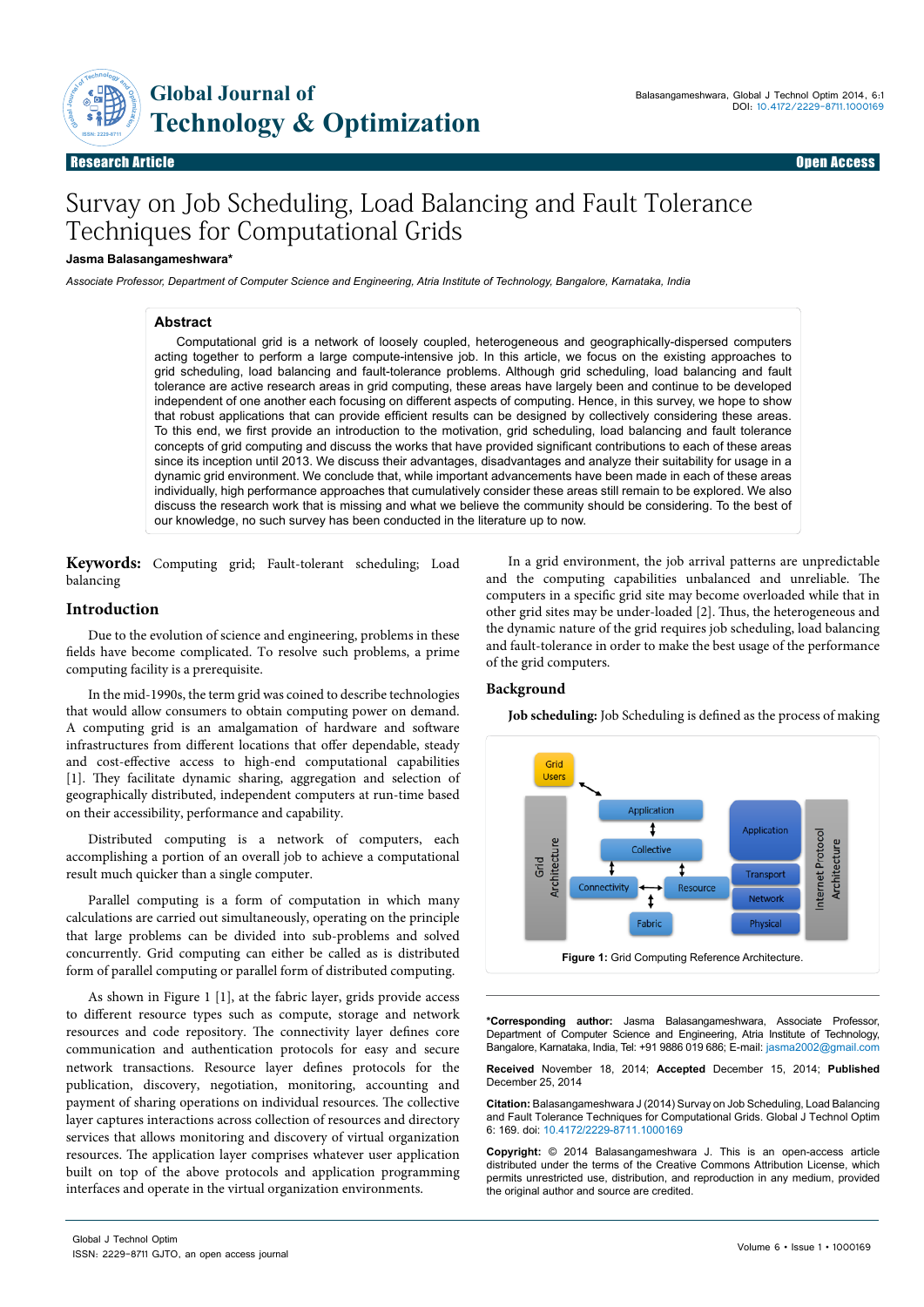

Research Article Open Access Research Article Open Access

# Survay on Job Scheduling, Load Balancing and Fault Tolerance Techniques for Computational Grids

### **Jasma Balasangameshwara\***

*Associate Professor, Department of Computer Science and Engineering, Atria Institute of Technology, Bangalore, Karnataka, India*

#### **Abstract**

Computational grid is a network of loosely coupled, heterogeneous and geographically-dispersed computers acting together to perform a large compute-intensive job. In this article, we focus on the existing approaches to grid scheduling, load balancing and fault-tolerance problems. Although grid scheduling, load balancing and fault tolerance are active research areas in grid computing, these areas have largely been and continue to be developed independent of one another each focusing on different aspects of computing. Hence, in this survey, we hope to show that robust applications that can provide efficient results can be designed by collectively considering these areas. To this end, we first provide an introduction to the motivation, grid scheduling, load balancing and fault tolerance concepts of grid computing and discuss the works that have provided significant contributions to each of these areas since its inception until 2013. We discuss their advantages, disadvantages and analyze their suitability for usage in a dynamic grid environment. We conclude that, while important advancements have been made in each of these areas individually, high performance approaches that cumulatively consider these areas still remain to be explored. We also discuss the research work that is missing and what we believe the community should be considering. To the best of our knowledge, no such survey has been conducted in the literature up to now.

**Keywords:** Computing grid; Fault-tolerant scheduling; Load balancing

## **Introduction**

Due to the evolution of science and engineering, problems in these fields have become complicated. To resolve such problems, a prime computing facility is a prerequisite.

In the mid-1990s, the term grid was coined to describe technologies that would allow consumers to obtain computing power on demand. A computing grid is an amalgamation of hardware and software infrastructures from different locations that offer dependable, steady and cost-effective access to high-end computational capabilities [1]. They facilitate dynamic sharing, aggregation and selection of geographically distributed, independent computers at run-time based on their accessibility, performance and capability.

Distributed computing is a network of computers, each accomplishing a portion of an overall job to achieve a computational result much quicker than a single computer.

Parallel computing is a form of computation in which many calculations are carried out simultaneously, operating on the principle that large problems can be divided into sub-problems and solved concurrently. Grid computing can either be called as is distributed form of parallel computing or parallel form of distributed computing.

As shown in Figure 1 [1], at the fabric layer, grids provide access to different resource types such as compute, storage and network resources and code repository. The connectivity layer defines core communication and authentication protocols for easy and secure network transactions. Resource layer defines protocols for the publication, discovery, negotiation, monitoring, accounting and payment of sharing operations on individual resources. The collective layer captures interactions across collection of resources and directory services that allows monitoring and discovery of virtual organization resources. The application layer comprises whatever user application built on top of the above protocols and application programming interfaces and operate in the virtual organization environments.

In a grid environment, the job arrival patterns are unpredictable and the computing capabilities unbalanced and unreliable. The computers in a specific grid site may become overloaded while that in other grid sites may be under-loaded [2]. Thus, the heterogeneous and the dynamic nature of the grid requires job scheduling, load balancing and fault-tolerance in order to make the best usage of the performance of the grid computers.

## **Background**

**Job scheduling:** Job Scheduling is defined as the process of making



**\*Corresponding author:** Jasma Balasangameshwara, Associate Professor, Department of Computer Science and Engineering, Atria Institute of Technology, Bangalore, Karnataka, India, Tel: +91 9886 019 686; E-mail: jasma2002@gmail.com

**Received** November 18, 2014; **Accepted** December 15, 2014; **Published** December 25, 2014

**Citation:** Balasangameshwara J (2014) Survay on Job Scheduling, Load Balancing and Fault Tolerance Techniques for Computational Grids. Global J Technol Optim 6: 169. doi: 10.4172/2229-8711.1000169

**Copyright:** © 2014 Balasangameshwara J. This is an open-access article distributed under the terms of the Creative Commons Attribution License, which permits unrestricted use, distribution, and reproduction in any medium, provided the original author and source are credited.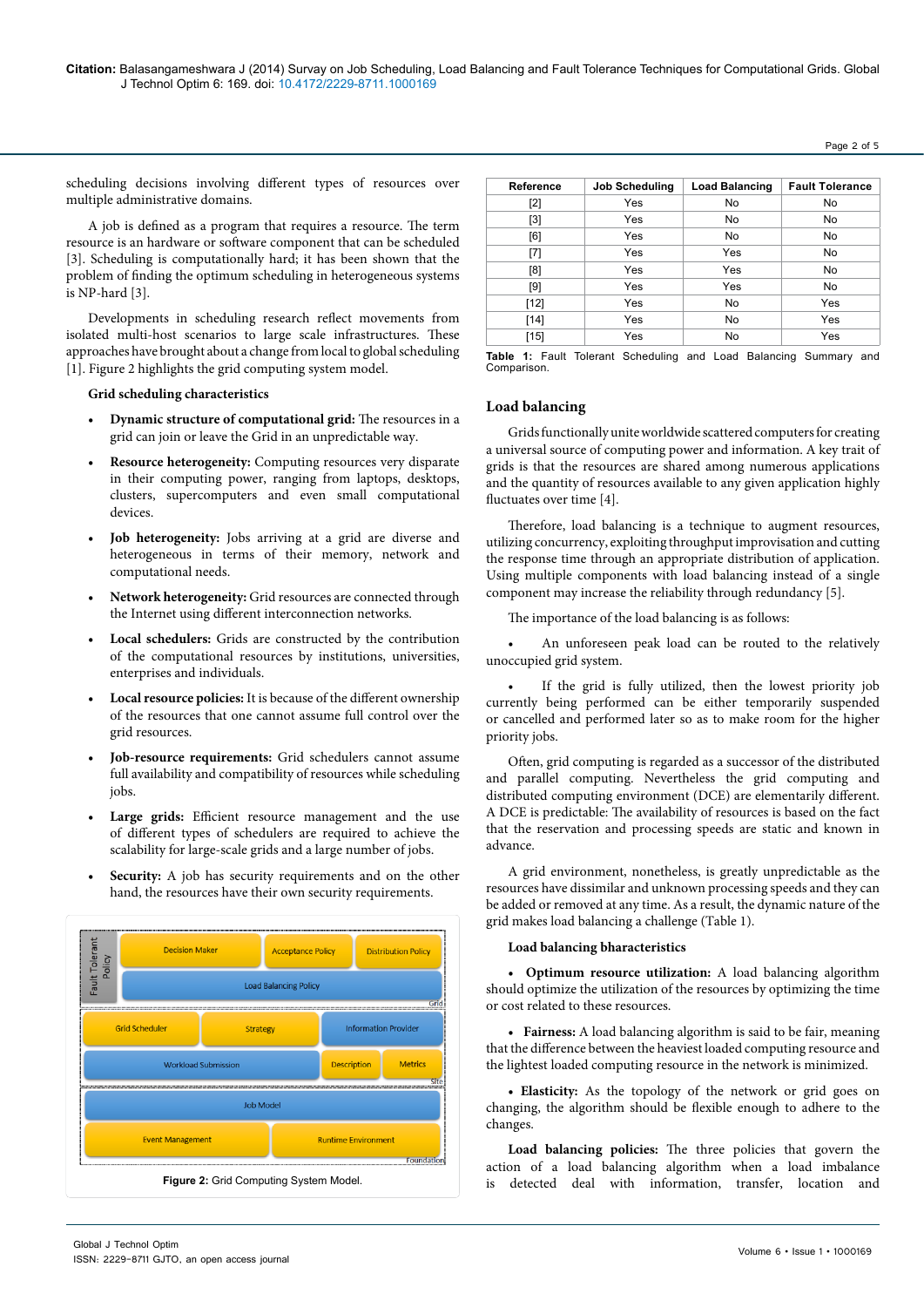#### Page 2 of 5

scheduling decisions involving different types of resources over multiple administrative domains.

A job is defined as a program that requires a resource. The term resource is an hardware or software component that can be scheduled [3]. Scheduling is computationally hard; it has been shown that the problem of finding the optimum scheduling in heterogeneous systems is NP-hard [3].

Developments in scheduling research reflect movements from isolated multi-host scenarios to large scale infrastructures. These approaches have brought about a change from local to global scheduling [1]. Figure 2 highlights the grid computing system model.

#### **Grid scheduling characteristics**

- **• Dynamic structure of computational grid:** The resources in a grid can join or leave the Grid in an unpredictable way.
- **• Resource heterogeneity:** Computing resources very disparate in their computing power, ranging from laptops, desktops, clusters, supercomputers and even small computational devices.
- **• Job heterogeneity:** Jobs arriving at a grid are diverse and heterogeneous in terms of their memory, network and computational needs.
- **• Network heterogeneity:** Grid resources are connected through the Internet using different interconnection networks.
- **• Local schedulers:** Grids are constructed by the contribution of the computational resources by institutions, universities, enterprises and individuals.
- **• Local resource policies:** It is because of the different ownership of the resources that one cannot assume full control over the grid resources.
- **• Job-resource requirements:** Grid schedulers cannot assume full availability and compatibility of resources while scheduling jobs.
- Large grids: Efficient resource management and the use of different types of schedulers are required to achieve the scalability for large-scale grids and a large number of jobs.
- **• Security:** A job has security requirements and on the other hand, the resources have their own security requirements.



| Reference | <b>Job Scheduling</b> | <b>Load Balancing</b> | <b>Fault Tolerance</b> |
|-----------|-----------------------|-----------------------|------------------------|
| $[2]$     | Yes                   | No                    | No                     |
| $[3]$     | Yes                   | <b>No</b>             | No                     |
| [6]       | Yes                   | <b>No</b>             | No                     |
| $[7]$     | Yes                   | Yes                   | No                     |
| [8]       | Yes                   | Yes                   | <b>No</b>              |
| [9]       | Yes                   | Yes                   | <b>No</b>              |
| $[12]$    | Yes                   | <b>No</b>             | Yes                    |
| $[14]$    | Yes                   | No                    | Yes                    |
| $[15]$    | Yes                   | <b>No</b>             | Yes                    |

**Table 1:** Fault Tolerant Scheduling and Load Balancing Summary and Comparison.

#### **Load balancing**

Grids functionally unite worldwide scattered computers for creating a universal source of computing power and information. A key trait of grids is that the resources are shared among numerous applications and the quantity of resources available to any given application highly fluctuates over time [4].

Therefore, load balancing is a technique to augment resources, utilizing concurrency, exploiting throughput improvisation and cutting the response time through an appropriate distribution of application. Using multiple components with load balancing instead of a single component may increase the reliability through redundancy [5].

The importance of the load balancing is as follows:

• An unforeseen peak load can be routed to the relatively unoccupied grid system.

If the grid is fully utilized, then the lowest priority job currently being performed can be either temporarily suspended or cancelled and performed later so as to make room for the higher priority jobs.

Often, grid computing is regarded as a successor of the distributed and parallel computing. Nevertheless the grid computing and distributed computing environment (DCE) are elementarily different. A DCE is predictable: The availability of resources is based on the fact that the reservation and processing speeds are static and known in advance.

A grid environment, nonetheless, is greatly unpredictable as the resources have dissimilar and unknown processing speeds and they can be added or removed at any time. As a result, the dynamic nature of the grid makes load balancing a challenge (Table 1).

#### **Load balancing bharacteristics**

**• Optimum resource utilization:** A load balancing algorithm should optimize the utilization of the resources by optimizing the time or cost related to these resources.

**• Fairness:** A load balancing algorithm is said to be fair, meaning that the difference between the heaviest loaded computing resource and the lightest loaded computing resource in the network is minimized.

**• Elasticity:** As the topology of the network or grid goes on changing, the algorithm should be flexible enough to adhere to the changes.

**Load balancing policies:** The three policies that govern the action of a load balancing algorithm when a load imbalance **Figure 2:** Grid Computing System Model. **Figure 2:** Grid Computing System Model. **Figure 2:** Grid Computing System Model.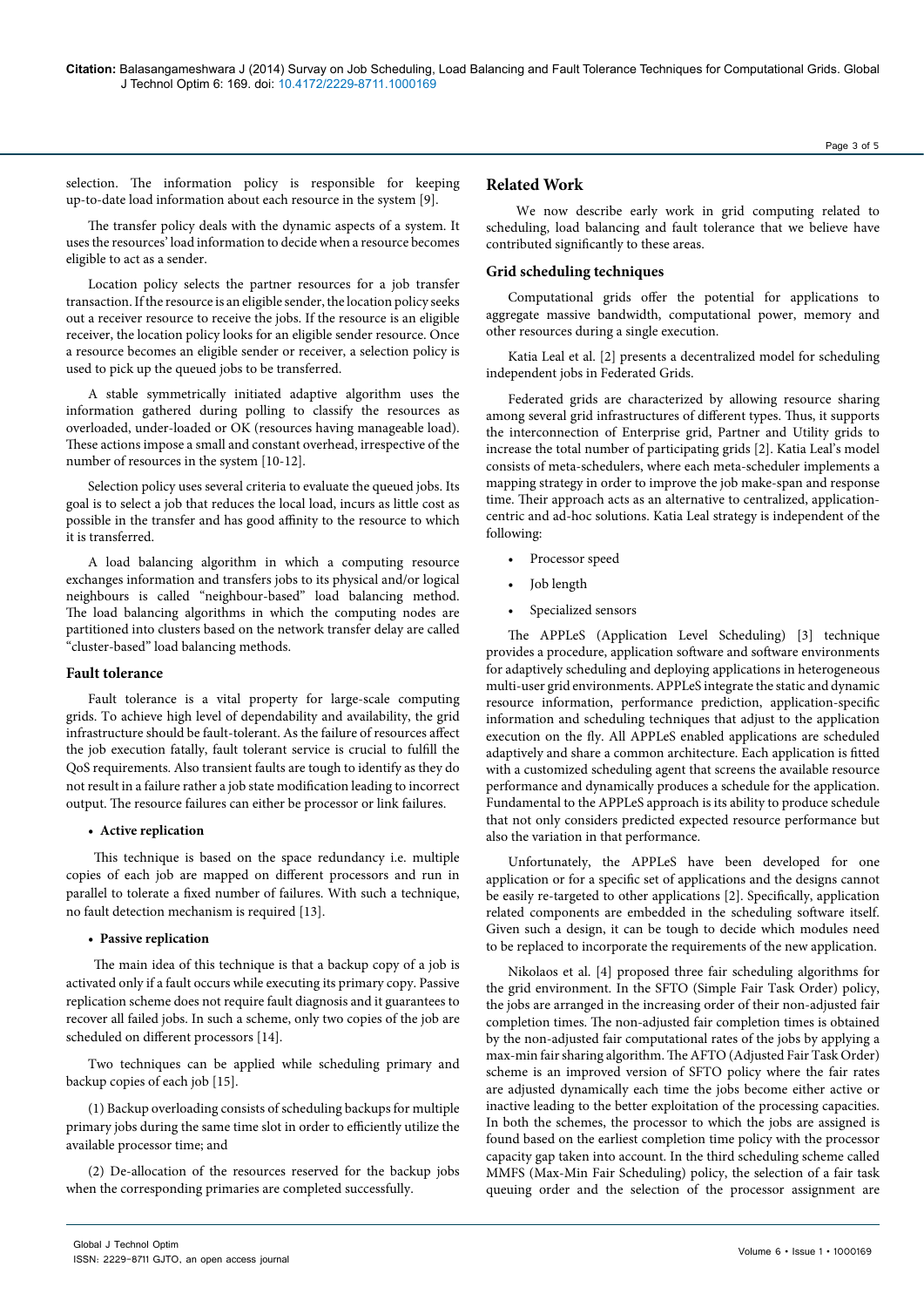selection. The information policy is responsible for keeping up-to-date load information about each resource in the system [9].

The transfer policy deals with the dynamic aspects of a system. It uses the resources' load information to decide when a resource becomes eligible to act as a sender.

Location policy selects the partner resources for a job transfer transaction. If the resource is an eligible sender, the location policy seeks out a receiver resource to receive the jobs. If the resource is an eligible receiver, the location policy looks for an eligible sender resource. Once a resource becomes an eligible sender or receiver, a selection policy is used to pick up the queued jobs to be transferred.

A stable symmetrically initiated adaptive algorithm uses the information gathered during polling to classify the resources as overloaded, under-loaded or OK (resources having manageable load). These actions impose a small and constant overhead, irrespective of the number of resources in the system [10-12].

Selection policy uses several criteria to evaluate the queued jobs. Its goal is to select a job that reduces the local load, incurs as little cost as possible in the transfer and has good affinity to the resource to which it is transferred.

A load balancing algorithm in which a computing resource exchanges information and transfers jobs to its physical and/or logical neighbours is called "neighbour-based" load balancing method. The load balancing algorithms in which the computing nodes are partitioned into clusters based on the network transfer delay are called "cluster-based" load balancing methods.

## **Fault tolerance**

Fault tolerance is a vital property for large-scale computing grids. To achieve high level of dependability and availability, the grid infrastructure should be fault-tolerant. As the failure of resources affect the job execution fatally, fault tolerant service is crucial to fulfill the QoS requirements. Also transient faults are tough to identify as they do not result in a failure rather a job state modification leading to incorrect output. The resource failures can either be processor or link failures.

## **• Active replication**

This technique is based on the space redundancy i.e. multiple copies of each job are mapped on different processors and run in parallel to tolerate a fixed number of failures. With such a technique, no fault detection mechanism is required [13].

# **• Passive replication**

The main idea of this technique is that a backup copy of a job is activated only if a fault occurs while executing its primary copy. Passive replication scheme does not require fault diagnosis and it guarantees to recover all failed jobs. In such a scheme, only two copies of the job are scheduled on different processors [14].

Two techniques can be applied while scheduling primary and backup copies of each job [15].

(1) Backup overloading consists of scheduling backups for multiple primary jobs during the same time slot in order to efficiently utilize the available processor time; and

(2) De-allocation of the resources reserved for the backup jobs when the corresponding primaries are completed successfully.

# **Related Work**

 We now describe early work in grid computing related to scheduling, load balancing and fault tolerance that we believe have contributed significantly to these areas.

# **Grid scheduling techniques**

Computational grids offer the potential for applications to aggregate massive bandwidth, computational power, memory and other resources during a single execution.

Katia Leal et al. [2] presents a decentralized model for scheduling independent jobs in Federated Grids.

Federated grids are characterized by allowing resource sharing among several grid infrastructures of different types. Thus, it supports the interconnection of Enterprise grid, Partner and Utility grids to increase the total number of participating grids [2]. Katia Leal's model consists of meta-schedulers, where each meta-scheduler implements a mapping strategy in order to improve the job make-span and response time. Their approach acts as an alternative to centralized, applicationcentric and ad-hoc solutions. Katia Leal strategy is independent of the following:

- Processor speed
- Job length
- Specialized sensors

The APPLeS (Application Level Scheduling) [3] technique provides a procedure, application software and software environments for adaptively scheduling and deploying applications in heterogeneous multi-user grid environments. APPLeS integrate the static and dynamic resource information, performance prediction, application-specific information and scheduling techniques that adjust to the application execution on the fly. All APPLeS enabled applications are scheduled adaptively and share a common architecture. Each application is fitted with a customized scheduling agent that screens the available resource performance and dynamically produces a schedule for the application. Fundamental to the APPLeS approach is its ability to produce schedule that not only considers predicted expected resource performance but also the variation in that performance.

Unfortunately, the APPLeS have been developed for one application or for a specific set of applications and the designs cannot be easily re-targeted to other applications [2]. Specifically, application related components are embedded in the scheduling software itself. Given such a design, it can be tough to decide which modules need to be replaced to incorporate the requirements of the new application.

Nikolaos et al. [4] proposed three fair scheduling algorithms for the grid environment. In the SFTO (Simple Fair Task Order) policy, the jobs are arranged in the increasing order of their non-adjusted fair completion times. The non-adjusted fair completion times is obtained by the non-adjusted fair computational rates of the jobs by applying a max-min fair sharing algorithm. The AFTO (Adjusted Fair Task Order) scheme is an improved version of SFTO policy where the fair rates are adjusted dynamically each time the jobs become either active or inactive leading to the better exploitation of the processing capacities. In both the schemes, the processor to which the jobs are assigned is found based on the earliest completion time policy with the processor capacity gap taken into account. In the third scheduling scheme called MMFS (Max-Min Fair Scheduling) policy, the selection of a fair task queuing order and the selection of the processor assignment are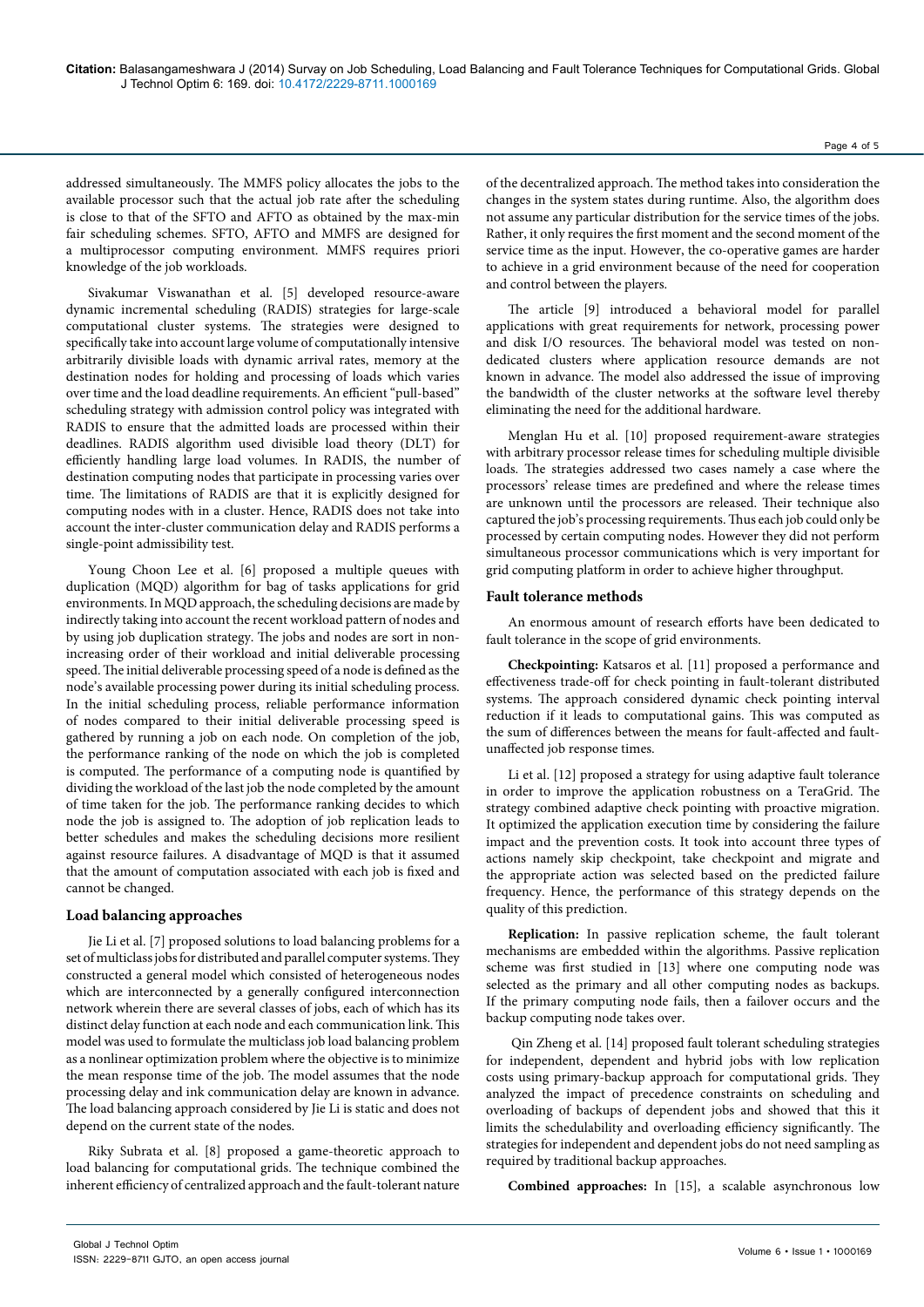addressed simultaneously. The MMFS policy allocates the jobs to the available processor such that the actual job rate after the scheduling is close to that of the SFTO and AFTO as obtained by the max-min fair scheduling schemes. SFTO, AFTO and MMFS are designed for a multiprocessor computing environment. MMFS requires priori knowledge of the job workloads.

Sivakumar Viswanathan et al. [5] developed resource-aware dynamic incremental scheduling (RADIS) strategies for large-scale computational cluster systems. The strategies were designed to specifically take into account large volume of computationally intensive arbitrarily divisible loads with dynamic arrival rates, memory at the destination nodes for holding and processing of loads which varies over time and the load deadline requirements. An efficient "pull-based" scheduling strategy with admission control policy was integrated with RADIS to ensure that the admitted loads are processed within their deadlines. RADIS algorithm used divisible load theory (DLT) for efficiently handling large load volumes. In RADIS, the number of destination computing nodes that participate in processing varies over time. The limitations of RADIS are that it is explicitly designed for computing nodes with in a cluster. Hence, RADIS does not take into account the inter-cluster communication delay and RADIS performs a single-point admissibility test.

Young Choon Lee et al. [6] proposed a multiple queues with duplication (MQD) algorithm for bag of tasks applications for grid environments. In MQD approach, the scheduling decisions are made by indirectly taking into account the recent workload pattern of nodes and by using job duplication strategy. The jobs and nodes are sort in nonincreasing order of their workload and initial deliverable processing speed. The initial deliverable processing speed of a node is defined as the node's available processing power during its initial scheduling process. In the initial scheduling process, reliable performance information of nodes compared to their initial deliverable processing speed is gathered by running a job on each node. On completion of the job, the performance ranking of the node on which the job is completed is computed. The performance of a computing node is quantified by dividing the workload of the last job the node completed by the amount of time taken for the job. The performance ranking decides to which node the job is assigned to. The adoption of job replication leads to better schedules and makes the scheduling decisions more resilient against resource failures. A disadvantage of MQD is that it assumed that the amount of computation associated with each job is fixed and cannot be changed.

## **Load balancing approaches**

Jie Li et al. [7] proposed solutions to load balancing problems for a set of multiclass jobs for distributed and parallel computer systems. They constructed a general model which consisted of heterogeneous nodes which are interconnected by a generally configured interconnection network wherein there are several classes of jobs, each of which has its distinct delay function at each node and each communication link. This model was used to formulate the multiclass job load balancing problem as a nonlinear optimization problem where the objective is to minimize the mean response time of the job. The model assumes that the node processing delay and ink communication delay are known in advance. The load balancing approach considered by Jie Li is static and does not depend on the current state of the nodes.

Riky Subrata et al. [8] proposed a game-theoretic approach to load balancing for computational grids. The technique combined the inherent efficiency of centralized approach and the fault-tolerant nature

of the decentralized approach. The method takes into consideration the changes in the system states during runtime. Also, the algorithm does not assume any particular distribution for the service times of the jobs. Rather, it only requires the first moment and the second moment of the service time as the input. However, the co-operative games are harder to achieve in a grid environment because of the need for cooperation and control between the players.

The article [9] introduced a behavioral model for parallel applications with great requirements for network, processing power and disk I/O resources. The behavioral model was tested on nondedicated clusters where application resource demands are not known in advance. The model also addressed the issue of improving the bandwidth of the cluster networks at the software level thereby eliminating the need for the additional hardware.

Menglan Hu et al. [10] proposed requirement-aware strategies with arbitrary processor release times for scheduling multiple divisible loads. The strategies addressed two cases namely a case where the processors' release times are predefined and where the release times are unknown until the processors are released. Their technique also captured the job's processing requirements. Thus each job could only be processed by certain computing nodes. However they did not perform simultaneous processor communications which is very important for grid computing platform in order to achieve higher throughput.

#### **Fault tolerance methods**

An enormous amount of research efforts have been dedicated to fault tolerance in the scope of grid environments.

**Checkpointing:** Katsaros et al. [11] proposed a performance and effectiveness trade-off for check pointing in fault-tolerant distributed systems. The approach considered dynamic check pointing interval reduction if it leads to computational gains. This was computed as the sum of differences between the means for fault-affected and faultunaffected job response times.

Li et al. [12] proposed a strategy for using adaptive fault tolerance in order to improve the application robustness on a TeraGrid. The strategy combined adaptive check pointing with proactive migration. It optimized the application execution time by considering the failure impact and the prevention costs. It took into account three types of actions namely skip checkpoint, take checkpoint and migrate and the appropriate action was selected based on the predicted failure frequency. Hence, the performance of this strategy depends on the quality of this prediction.

**Replication:** In passive replication scheme, the fault tolerant mechanisms are embedded within the algorithms. Passive replication scheme was first studied in [13] where one computing node was selected as the primary and all other computing nodes as backups. If the primary computing node fails, then a failover occurs and the backup computing node takes over.

 Qin Zheng et al. [14] proposed fault tolerant scheduling strategies for independent, dependent and hybrid jobs with low replication costs using primary-backup approach for computational grids. They analyzed the impact of precedence constraints on scheduling and overloading of backups of dependent jobs and showed that this it limits the schedulability and overloading efficiency significantly. The strategies for independent and dependent jobs do not need sampling as required by traditional backup approaches.

**Combined approaches:** In [15], a scalable asynchronous low